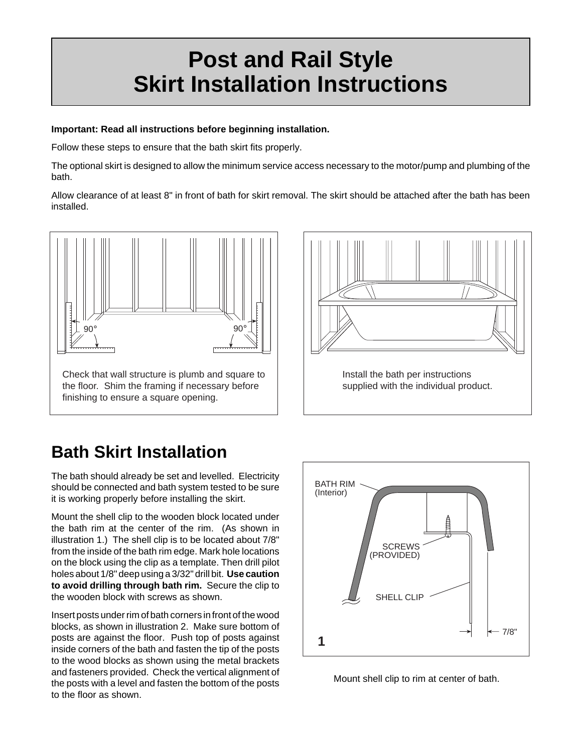## **Post and Rail Style Skirt Installation Instructions**

## **Important: Read all instructions before beginning installation.**

Follow these steps to ensure that the bath skirt fits properly.

The optional skirt is designed to allow the minimum service access necessary to the motor/pump and plumbing of the bath.

Allow clearance of at least 8" in front of bath for skirt removal. The skirt should be attached after the bath has been installed.





## **Bath Skirt Installation**

The bath should already be set and levelled. Electricity should be connected and bath system tested to be sure it is working properly before installing the skirt.

Mount the shell clip to the wooden block located under the bath rim at the center of the rim. (As shown in illustration 1.) The shell clip is to be located about 7/8" from the inside of the bath rim edge. Mark hole locations on the block using the clip as a template. Then drill pilot holes about 1/8" deep using a 3/32" drill bit. **Use caution to avoid drilling through bath rim.** Secure the clip to the wooden block with screws as shown.

Insert posts under rim of bath corners in front of the wood blocks, as shown in illustration 2. Make sure bottom of posts are against the floor. Push top of posts against inside corners of the bath and fasten the tip of the posts to the wood blocks as shown using the metal brackets and fasteners provided. Check the vertical alignment of the posts with a level and fasten the bottom of the posts to the floor as shown.



Mount shell clip to rim at center of bath.